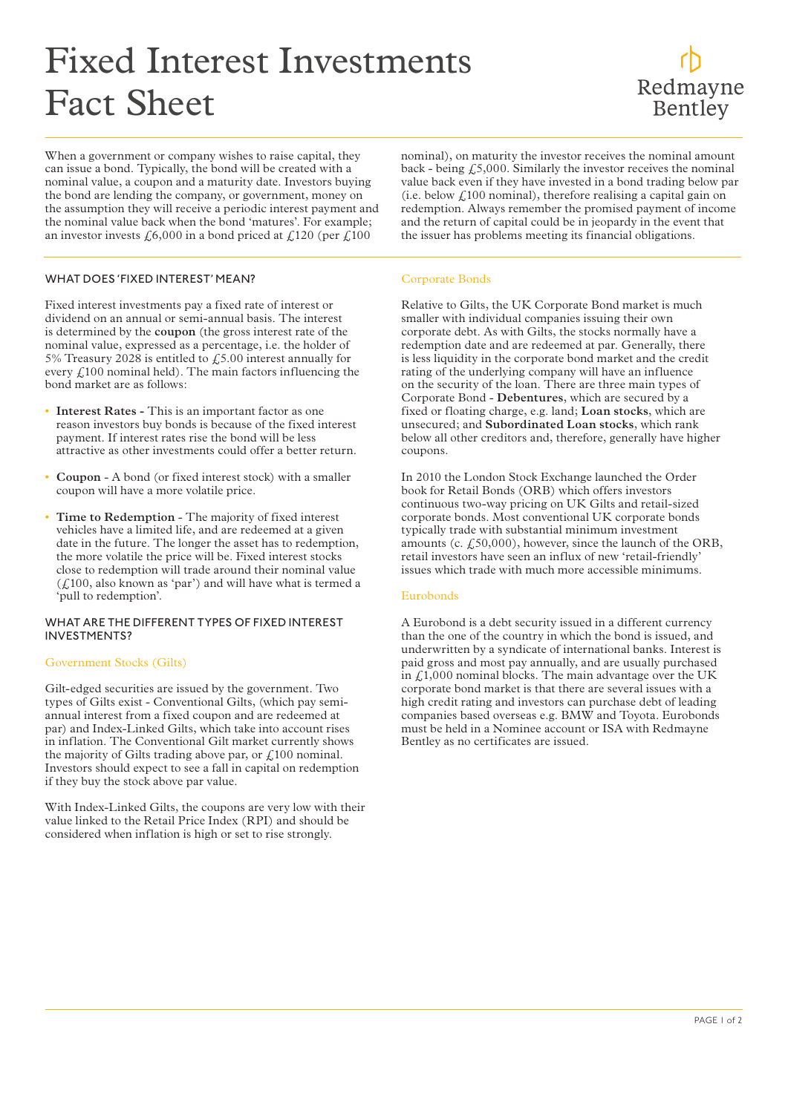# Fixed Interest Investments Fact Sheet

When a government or company wishes to raise capital, they can issue a bond. Typically, the bond will be created with a nominal value, a coupon and a maturity date. Investors buying the bond are lending the company, or government, money on the assumption they will receive a periodic interest payment and the nominal value back when the bond 'matures'. For example; an investor invests  $\text{\emph{£}}6,000$  in a bond priced at  $\text{\emph{£}}120$  (per  $\text{\emph{£}}100$ 

nominal), on maturity the investor receives the nominal amount back - being  $f_5000$ . Similarly the investor receives the nominal value back even if they have invested in a bond trading below par (i.e. below  $\mathcal{L}$ 100 nominal), therefore realising a capital gain on redemption. Always remember the promised payment of income and the return of capital could be in jeopardy in the event that the issuer has problems meeting its financial obligations.

# WHAT DOES 'FIXED INTEREST' MEAN?

Fixed interest investments pay a fixed rate of interest or dividend on an annual or semi-annual basis. The interest is determined by the **coupon** (the gross interest rate of the nominal value, expressed as a percentage, i.e. the holder of 5% Treasury 2028 is entitled to £5.00 interest annually for every  $f(100)$  nominal held). The main factors influencing the bond market are as follows:

- **• Interest Rates -** This is an important factor as one reason investors buy bonds is because of the fixed interest payment. If interest rates rise the bond will be less attractive as other investments could offer a better return.
- **• Coupon** A bond (or fixed interest stock) with a smaller coupon will have a more volatile price.
- **• Time to Redemption** The majority of fixed interest vehicles have a limited life, and are redeemed at a given date in the future. The longer the asset has to redemption, the more volatile the price will be. Fixed interest stocks close to redemption will trade around their nominal value  $(f<sub>i</sub>100, also known as 'par')$  and will have what is termed a 'pull to redemption'.

#### WHAT ARE THE DIFFERENT TYPES OF FIXED INTEREST INVESTMENTS?

# Government Stocks (Gilts)

Gilt-edged securities are issued by the government. Two types of Gilts exist - Conventional Gilts, (which pay semiannual interest from a fixed coupon and are redeemed at par) and Index-Linked Gilts, which take into account rises in inflation. The Conventional Gilt market currently shows the majority of Gilts trading above par, or  $\text{\textsterling}100$  nominal. Investors should expect to see a fall in capital on redemption if they buy the stock above par value.

With Index-Linked Gilts, the coupons are very low with their value linked to the Retail Price Index (RPI) and should be considered when inflation is high or set to rise strongly.

#### Corporate Bonds

Relative to Gilts, the UK Corporate Bond market is much smaller with individual companies issuing their own corporate debt. As with Gilts, the stocks normally have a redemption date and are redeemed at par. Generally, there is less liquidity in the corporate bond market and the credit rating of the underlying company will have an influence on the security of the loan. There are three main types of Corporate Bond - **Debentures**, which are secured by a fixed or floating charge, e.g. land; **Loan stocks**, which are unsecured; and **Subordinated Loan stocks**, which rank below all other creditors and, therefore, generally have higher coupons.

In 2010 the London Stock Exchange launched the Order book for Retail Bonds (ORB) which offers investors continuous two-way pricing on UK Gilts and retail-sized corporate bonds. Most conventional UK corporate bonds typically trade with substantial minimum investment amounts (c.  $f<sub>1</sub>50,000$ ), however, since the launch of the ORB, retail investors have seen an influx of new 'retail-friendly' issues which trade with much more accessible minimums.

# Eurobonds

A Eurobond is a debt security issued in a different currency than the one of the country in which the bond is issued, and underwritten by a syndicate of international banks. Interest is paid gross and most pay annually, and are usually purchased in £1,000 nominal blocks. The main advantage over the UK corporate bond market is that there are several issues with a high credit rating and investors can purchase debt of leading companies based overseas e.g. BMW and Toyota. Eurobonds must be held in a Nominee account or ISA with Redmayne Bentley as no certificates are issued.